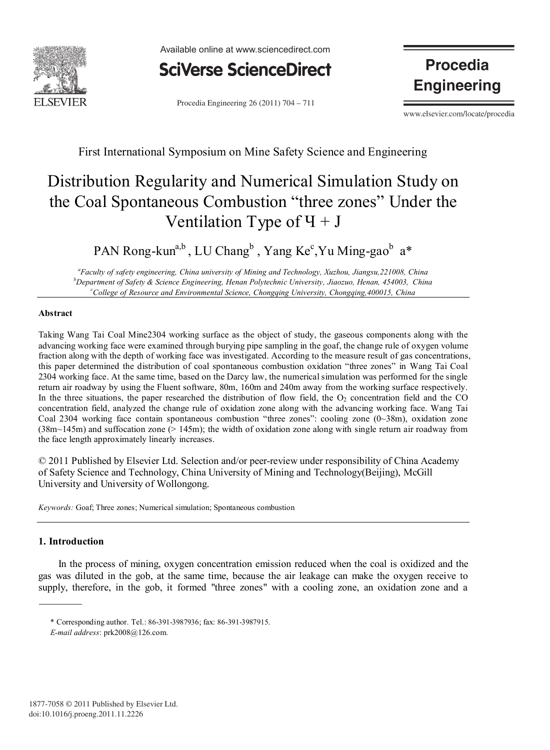

Available online at www.sciencedirect.com



Procedia Engineering  $26(2011) 704 - 711$ 

**Procedia Engineering** 

www.elsevier.com/locate/procedia

First International Symposium on Mine Safety Science and Engineering

# Distribution Regularity and Numerical Simulation Study on the Coal Spontaneous Combustion "three zones" Under the Ventilation Type of  $\Pi + J$

PAN Rong-kun<sup>a,b</sup>, LU Chang<sup>b</sup>, Yang Ke<sup>c</sup>,Yu Ming-gao<sup>b</sup> a\*

*a Faculty of safety engineering, China university of Mining and Technology, Xuzhou, Jiangsu,221008, China b Department of Safety & Science Engineering, Henan Polytechnic University, Jiaozuo, Henan, 454003, China c College of Resource and Environmental Science, Chongqing University, Chongqing,400015, China*

## **Abstract**

Taking Wang Tai Coal Mine2304 working surface as the object of study, the gaseous components along with the advancing working face were examined through burying pipe sampling in the goaf, the change rule of oxygen volume fraction along with the depth of working face was investigated. According to the measure result of gas concentrations, this paper determined the distribution of coal spontaneous combustion oxidation "three zones" in Wang Tai Coal 2304 working face. At the same time, based on the Darcy law, the numerical simulation was performed for the single return air roadway by using the Fluent software, 80m, 160m and 240m away from the working surface respectively. In the three situations, the paper researched the distribution of flow field, the  $O<sub>2</sub>$  concentration field and the CO concentration field, analyzed the change rule of oxidation zone along with the advancing working face. Wang Tai Coal 2304 working face contain spontaneous combustion "three zones": cooling zone (0~38m), oxidation zone (38m~145m) and suffocation zone (> 145m); the width of oxidation zone along with single return air roadway from the face length approximately linearly increases.

© 2011 Published by Elsevier Ltd. Selection and/or peer-review under responsibility of China Academy of Safety Science and Technology, China University of Mining and Technology(Beijing), McGill University and University of Wollongong.

*Keywords:* Goaf; Three zones; Numerical simulation; Spontaneous combustion

### **1. Introduction**

In the process of mining, oxygen concentration emission reduced when the coal is oxidized and the gas was diluted in the gob, at the same time, because the air leakage can make the oxygen receive to supply, therefore, in the gob, it formed "three zones" with a cooling zone, an oxidation zone and a

<sup>\*</sup> Corresponding author. Tel.: 86-391-3987936; fax: 86-391-3987915.

*E-mail address*: prk2008@126.com.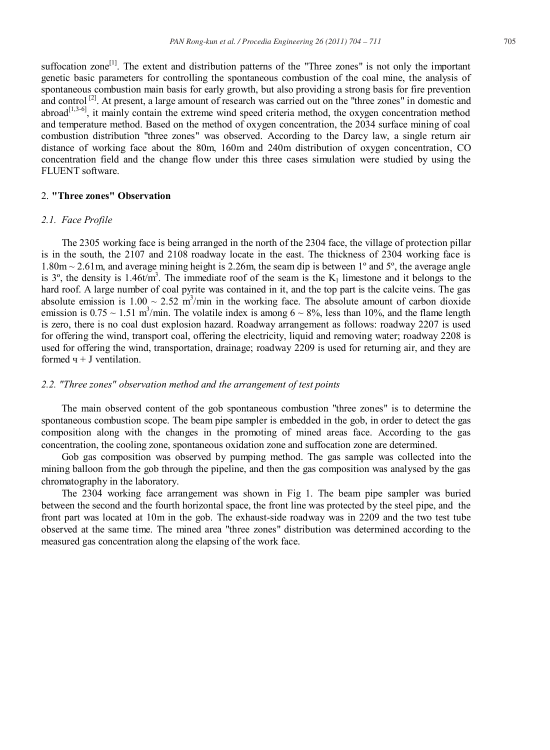suffocation zone<sup>[1]</sup>. The extent and distribution patterns of the "Three zones" is not only the important genetic basic parameters for controlling the spontaneous combustion of the coal mine, the analysis of spontaneous combustion main basis for early growth, but also providing a strong basis for fire prevention and control  $\left[2\right]$ . At present, a large amount of research was carried out on the "three zones" in domestic and  $\arccos \frac{1}{3.3-6}$ , it mainly contain the extreme wind speed criteria method, the oxygen concentration method and temperature method. Based on the method of oxygen concentration, the 2034 surface mining of coal combustion distribution "three zones" was observed. According to the Darcy law, a single return air distance of working face about the 80m, 160m and 240m distribution of oxygen concentration, CO concentration field and the change flow under this three cases simulation were studied by using the FLUENT software.

# 2. **"Three zones" Observation**

#### *2.1. Face Profile*

The 2305 working face is being arranged in the north of the 2304 face, the village of protection pillar is in the south, the 2107 and 2108 roadway locate in the east. The thickness of 2304 working face is  $1.80$ m  $\sim$  2.61m, and average mining height is 2.26m, the seam dip is between 1<sup>o</sup> and 5<sup>o</sup>, the average angle is 3<sup>o</sup>, the density is 1.46t/m<sup>3</sup>. The immediate roof of the seam is the  $K_1$  limestone and it belongs to the hard roof. A large number of coal pyrite was contained in it, and the top part is the calcite veins. The gas absolute emission is  $1.00 \sim 2.52$  m<sup>3</sup>/min in the working face. The absolute amount of carbon dioxide emission is  $0.75 \sim 1.51$  m<sup>3</sup>/min. The volatile index is among  $6 \sim 8\%$ , less than 10%, and the flame length is zero, there is no coal dust explosion hazard. Roadway arrangement as follows: roadway 2207 is used for offering the wind, transport coal, offering the electricity, liquid and removing water; roadway 2208 is used for offering the wind, transportation, drainage; roadway 2209 is used for returning air, and they are formed  $y + J$  ventilation.

#### *2.2. "Three zones" observation method and the arrangement of test points*

The main observed content of the gob spontaneous combustion "three zones" is to determine the spontaneous combustion scope. The beam pipe sampler is embedded in the gob, in order to detect the gas composition along with the changes in the promoting of mined areas face. According to the gas concentration, the cooling zone, spontaneous oxidation zone and suffocation zone are determined.

Gob gas composition was observed by pumping method. The gas sample was collected into the mining balloon from the gob through the pipeline, and then the gas composition was analysed by the gas chromatography in the laboratory.

The 2304 working face arrangement was shown in Fig 1. The beam pipe sampler was buried between the second and the fourth horizontal space, the front line was protected by the steel pipe, and the front part was located at 10m in the gob. The exhaust-side roadway was in 2209 and the two test tube observed at the same time. The mined area "three zones" distribution was determined according to the measured gas concentration along the elapsing of the work face.